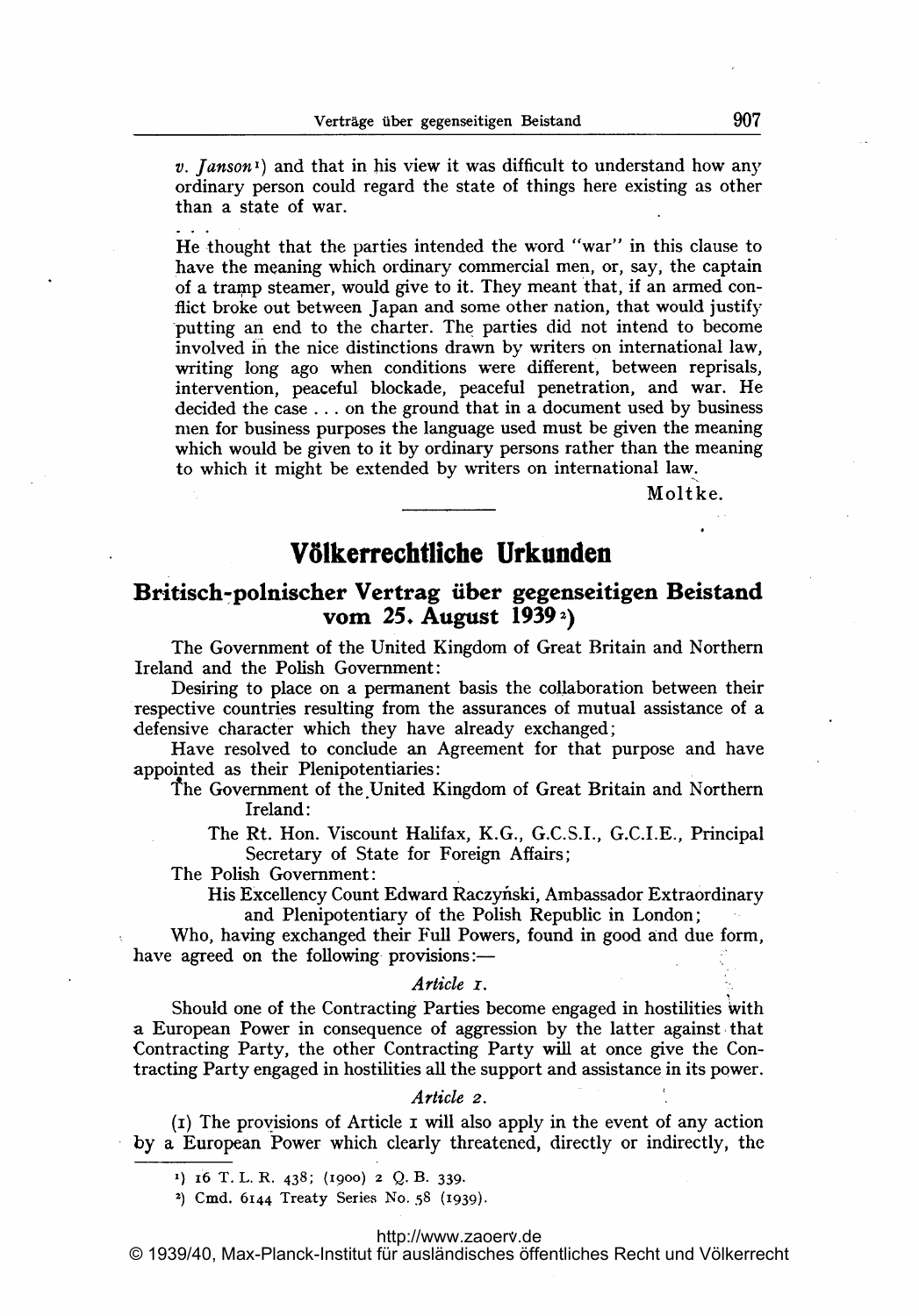v. *Janson*<sup>1</sup>) and that in his view it was difficult to understand how any ordinary person could regard the state of things here existing as other than a state of war.

He thought that the parties intended the word "war" in this clause to have the meaning which ordinary commercial men, or, say, the captain of a tramp steamer, would give to it. They meant that, if an armed conflict broke out between Japan and some other nation, that would justify putting an end to the charter. The parties did not intend to become involved in the nice distinctions drawn by writers on international law, writing long ago when conditions were different, between reprisals, intervention, peaceful blockade, peaceful penetration, and war. He decided the case . . . on the ground that in a document used by business men for business purposes the language used must be given the meaning which would be given to it by ordinary persons rather than the meaning to which it might be extended by writers on international law.

Moltke.

# V61keffechtfiche Urkunden

# Britisch-polnischer Vertrag über gegenseitigen Beistand vom 25. August <sup>1939</sup> 2)

The Government of the United Kingdom of Great Britain and Northern Ireland and the Polish Government:

Desiring to place on a permanent basis the collaboration between their respective countries resulting from the assurances of mutual assistance of a defensive character which they have already exchanged;

Have resolved to conclude an Agreement for that purpose and have appointed as their Plenipotentiaries:

the Government of the.United Kingdom of Great Britain and Northern Ireland:

The Rt. Hon. Viscount Halifax, K.G., G.C.S.I., G.C.I.E., Principal Secretary of State for Foreign Affairs;

The Polish Government:

His Excellency Count Edward Raczyfiski, Ambassador Extraordinary and Plenipotentiary of the Polish Republic in London;

Who, having exchanged their Full Powers, found in good and due form, have agreed on the following provisions:—

#### Article <sub>I</sub>.

Should one of the Contracting Parties become engaged in hostilities with a European Power in consequence of aggression by the latter against that Contracting Party, the other Contracting Party will at once give the Contracting Party engaged in hostilities all the support and assistance in its power.

#### Article 2.

 $(i)$  The provisions of Article I will also apply in the event of any action by a European Power which clearly threatened, directly or indirectly, the

#### <http://www.zaoerv.de>

© 1939/40, Max-Planck-Institut für ausländisches öffentliches Recht und Völkerrecht

<sup>1)</sup> 16 T. L. R. 438; (1900) 2 Q. B- 339.

<sup>&</sup>lt;sup>2</sup>) Cmd. 6144 Treaty Series No. 58 (1939).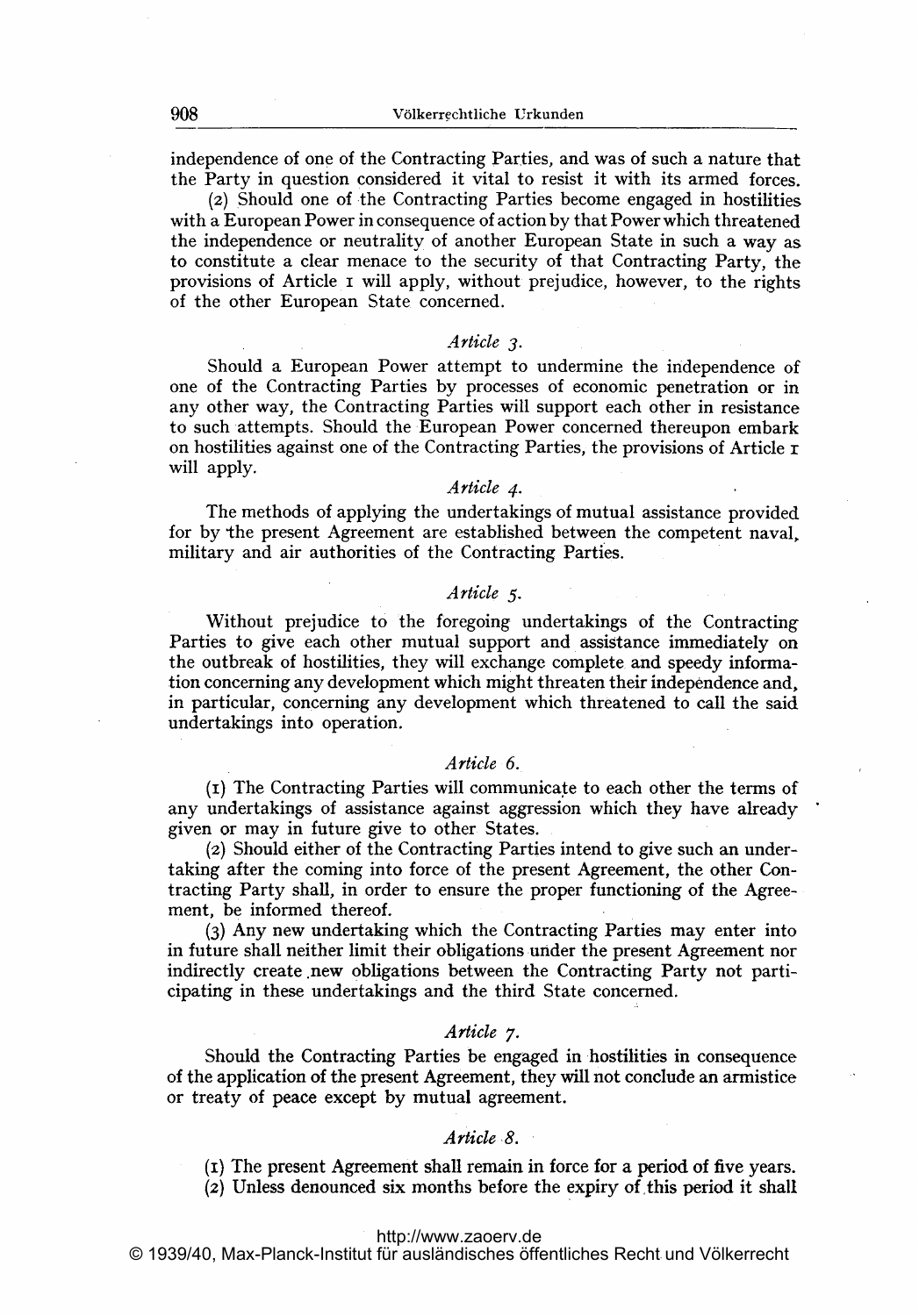independence of one of the Contracting Parties, and was of such a nature that the Party in question considered it vital to resist it with its armed forces.

(2) Should one of the Contracting Parties become engaged in hostilities with <sup>a</sup> European Power in consequence of action by that Power which threatened the independence or neutrality of another European State in such <sup>a</sup> way as to constitute a clear menace to the security of that Contracting Party, the provisions of Article <sup>i</sup> will apply, without prejudice, however, to the rights of the other European State concerned.

#### Article 3.

Should a European Power attempt to undermine the independence of one of the Contracting Parties by processes of economic penetration or in any other way, the Contracting Parties will support each other in resistance to such attempts. Should the European Power concerned thereupon embark on hostilities against one of the Contracting Parties, the provisions of Article  $\tau$ will apply.<br>  $A$ rticle 4.

The methods of applying the undertakings of mutual assistance provided for by the present Agreement are established between the competent naval, military and air authorities of the Contracting Parties.

#### Article 5-

Without prejudice to the foregoing undertakings of the Contracting Parties to give each other mutual support and assistance immediately on the outbreak of hostilities, they will exchange complete and speedy information concerning any development which might threaten their independence and, in particular, concerning any development which threatened to call the said undertakings into operation.

#### Article 6.

(i) The Contracting Parties will communica to each other the terms of any undertakings of assistance against aggression which they have already given or may in future give to other States.

(2) Should either of the Contracting Parties intend to give such an undertaking after the coming into force of the present Agreement, the other Contracting Party shall, in order to ensure the proper functioning of the Agreement, be informed thereof.

(3) Any new undertaking which the Contracting Parties may enter into in future shall neither limit their obligations under the present Agreement nor indirectly create new obligations between the Contracting Party not participating in these undertakings and the third State concerned.

### Article 7.

Should the Contracting Parties be engaged in hostilities in consequence of the application of the present Agreement, they will not conclude an armistice or treaty of peace except by mutual agreement.

### Article 8.

(i) The present Agreement shall remain in force for a period of five years.  $(2)$  Unless denounced six months before the expiry of this period it shall

© 1939/40, Max-Planck-Institut für ausländisches öffentliches Recht und Völkerrecht